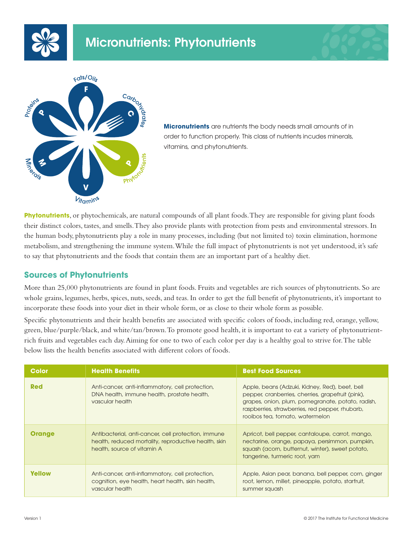





**Micronutrients** are nutrients the body needs small amounts of in order to function properly. This class of nutrients incudes minerals, vitamins, and phytonutrients.

**Phytonutrients**, or phytochemicals, are natural compounds of all plant foods. They are responsible for giving plant foods their distinct colors, tastes, and smells. They also provide plants with protection from pests and environmental stressors. In the human body, phytonutrients play a role in many processes, including (but not limited to) toxin elimination, hormone metabolism, and strengthening the immune system. While the full impact of phytonutrients is not yet understood, it's safe to say that phytonutrients and the foods that contain them are an important part of a healthy diet.

## **Sources of Phytonutrients**

More than 25,000 phytonutrients are found in plant foods. Fruits and vegetables are rich sources of phytonutrients. So are whole grains, legumes, herbs, spices, nuts, seeds, and teas. In order to get the full benefit of phytonutrients, it's important to incorporate these foods into your diet in their whole form, or as close to their whole form as possible.

Specific phytonutrients and their health benefits are associated with specific colors of foods, including red, orange, yellow, green, blue/purple/black, and white/tan/brown. To promote good health, it is important to eat a variety of phytonutrientrich fruits and vegetables each day. Aiming for one to two of each color per day is a healthy goal to strive for. The table below lists the health benefits associated with different colors of foods.

| <b>Color</b>  | <b>Health Benefits</b>                                                                                                                     | <b>Best Food Sources</b>                                                                                                                                                                                                                       |
|---------------|--------------------------------------------------------------------------------------------------------------------------------------------|------------------------------------------------------------------------------------------------------------------------------------------------------------------------------------------------------------------------------------------------|
| <b>Red</b>    | Anti-cancer, anti-inflammatory, cell protection,<br>DNA health, immune health, prostate health,<br>vascular health                         | Apple, beans (Adzuki, Kidney, Red), beet, bell<br>pepper, cranberries, cherries, grapefruit (pink),<br>grapes, onion, plum, pomegranate, potato, radish,<br>raspberries, strawberries, red pepper, rhubarb,<br>rooibos tea, tomato, watermelon |
| <b>Orange</b> | Antibacterial, anti-cancer, cell protection, immune<br>health, reduced mortality, reproductive health, skin<br>health, source of vitamin A | Apricot, bell pepper, cantaloupe, carrot, mango,<br>nectarine, orange, papaya, persimmon, pumpkin,<br>squash (acorn, butternut, winter), sweet potato,<br>tangerine, turmeric root, yam                                                        |
| <b>Yellow</b> | Anti-cancer, anti-inflammatory, cell protection,<br>cognition, eye health, heart health, skin health,<br>vascular health                   | Apple, Asian pear, banana, bell pepper, corn, ginger<br>root, lemon, millet, pineapple, potato, starfruit,<br>summer squash                                                                                                                    |